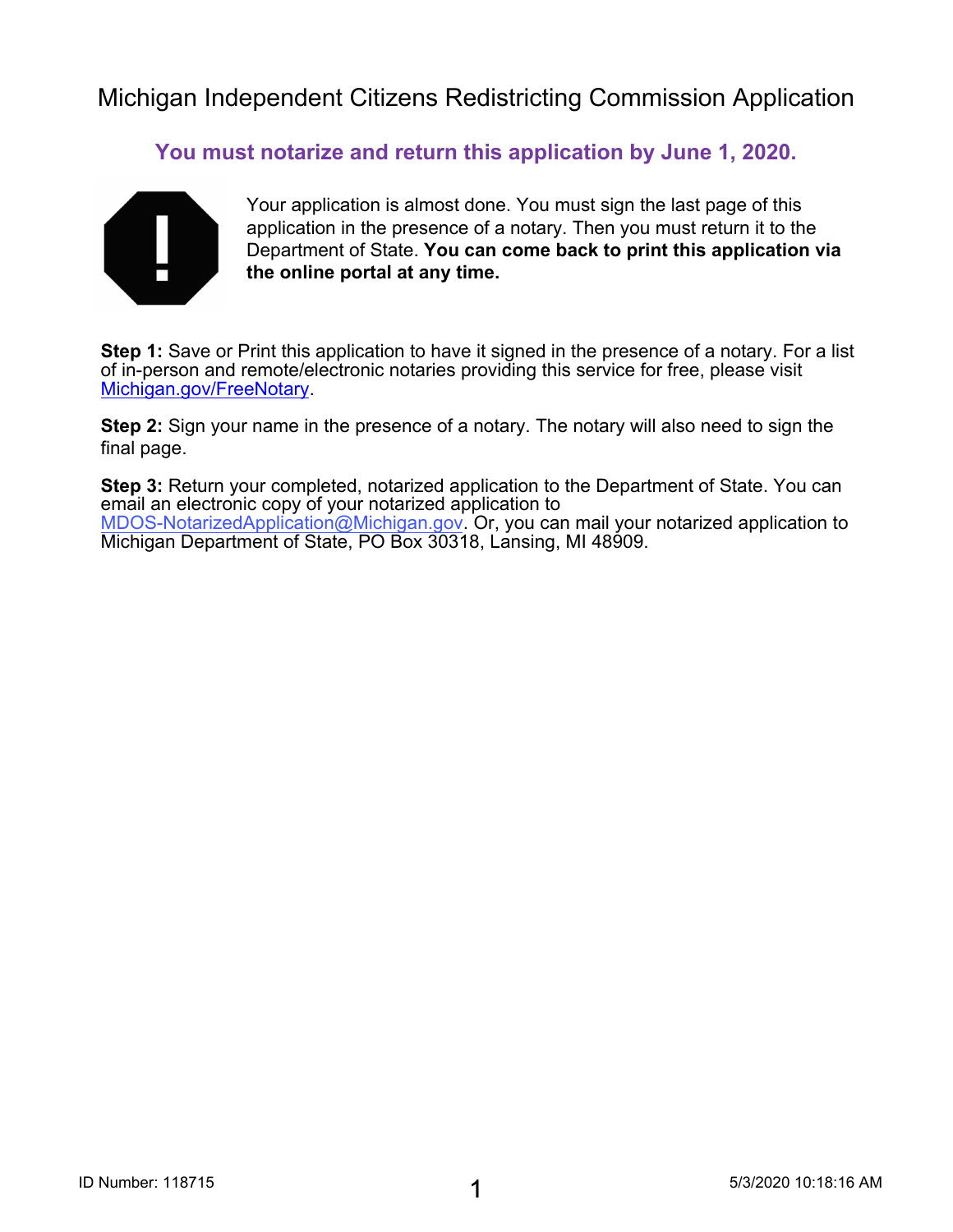**You must notarize and return this application by June 1, 2020.**



Your application is almost done. You must sign the last page of this application in the presence of a notary. Then you must return it to the Department of State. **You can come back to print this application via the online portal at any time.**

**Step 1:** Save or Print this application to have it signed in the presence of a notary. For a list [of in-person and remote/ele](https://www.michigan.gov/sos/0,4670,7-127-1633_91141_95805---,00.html)ctronic notaries providing this service for free, please visit Michigan.gov/FreeNotary.

**Step 2:** Sign your name in the presence of a notary. The notary will also need to sign the final page.

**Step 3:** Return your completed, notarized application to the Department of State. You can email an electronic copy of your notarized application to MDOS-NotarizedApplication@Michigan.gov. Or, you can mail your notarized application to Michigan Department of State, PO Box 30318, Lansing, MI 48909.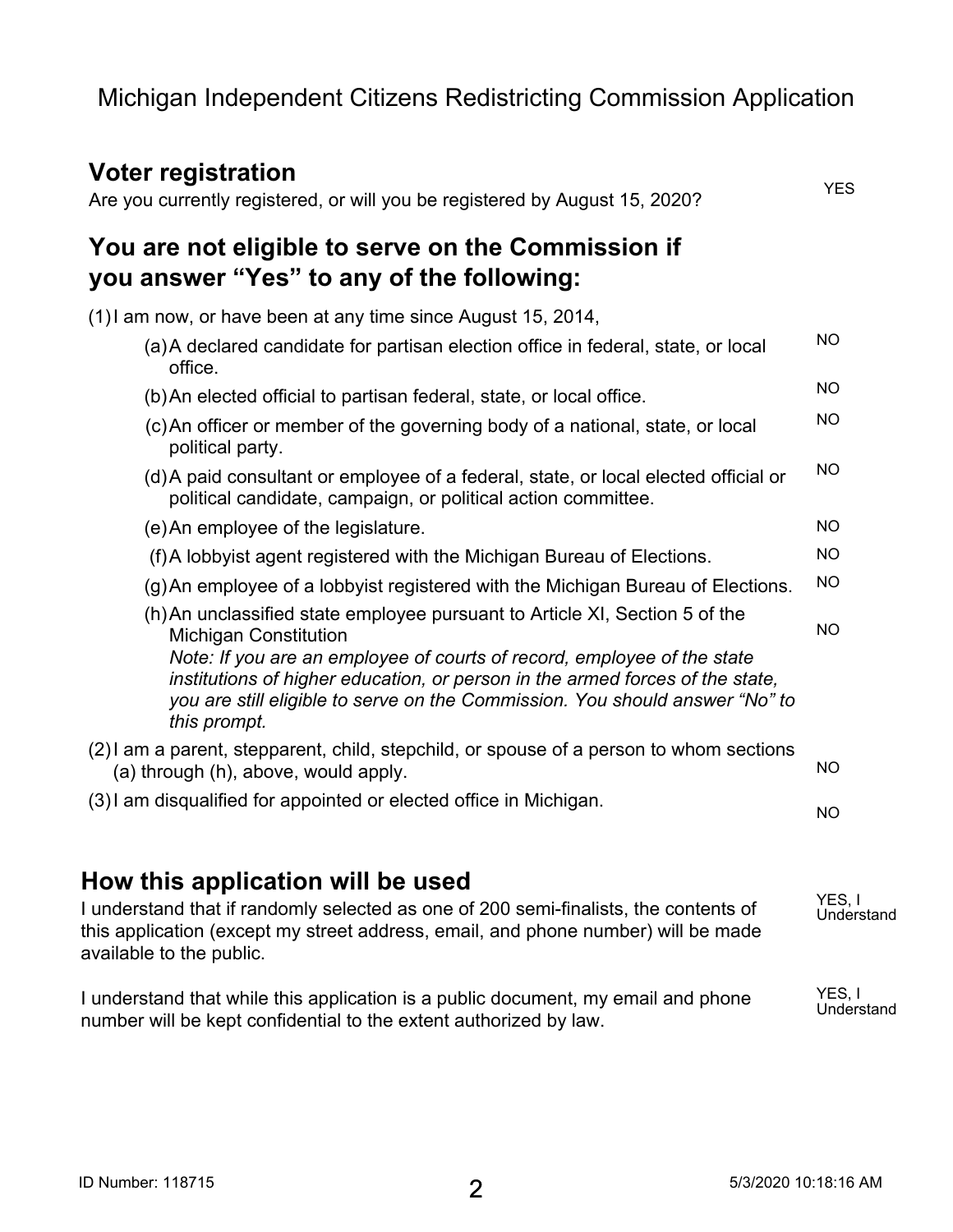#### **Voter registration** Are you currently registered, or will you be registered by August 15, 2020? **You are not eligible to serve on the Commission if you answer "Yes" to any of the following:** (1)I am now, or have been at any time since August 15, 2014, (a)A declared candidate for partisan election office in federal, state, or local office. (b)An elected official to partisan federal, state, or local office. (c)An officer or member of the governing body of a national, state, or local political party. (d)A paid consultant or employee of a federal, state, or local elected official or political candidate, campaign, or political action committee. (e)An employee of the legislature. (f)A lobbyist agent registered with the Michigan Bureau of Elections. (g)An employee of a lobbyist registered with the Michigan Bureau of Elections. (h)An unclassified state employee pursuant to Article XI, Section 5 of the Michigan Constitution *Note: If you are an employee of courts of record, employee of the state institutions of higher education, or person in the armed forces of the state, you are still eligible to serve on the Commission. You should answer "No" to this prompt.* (2)I am a parent, stepparent, child, stepchild, or spouse of a person to whom sections (a) through (h), above, would apply. (3)I am disqualified for appointed or elected office in Michigan. **YES NO NO NO NO NO NO NO NO NO NO**

### **How this application will be used**

I understand that if randomly selected as one of 200 semi-finalists, the contents of this application (except my street address, email, and phone number) will be made available to the public. **YES, I Understand**

I understand that while this application is a public document, my email and phone number will be kept confidential to the extent authorized by law. **YES, I Understand**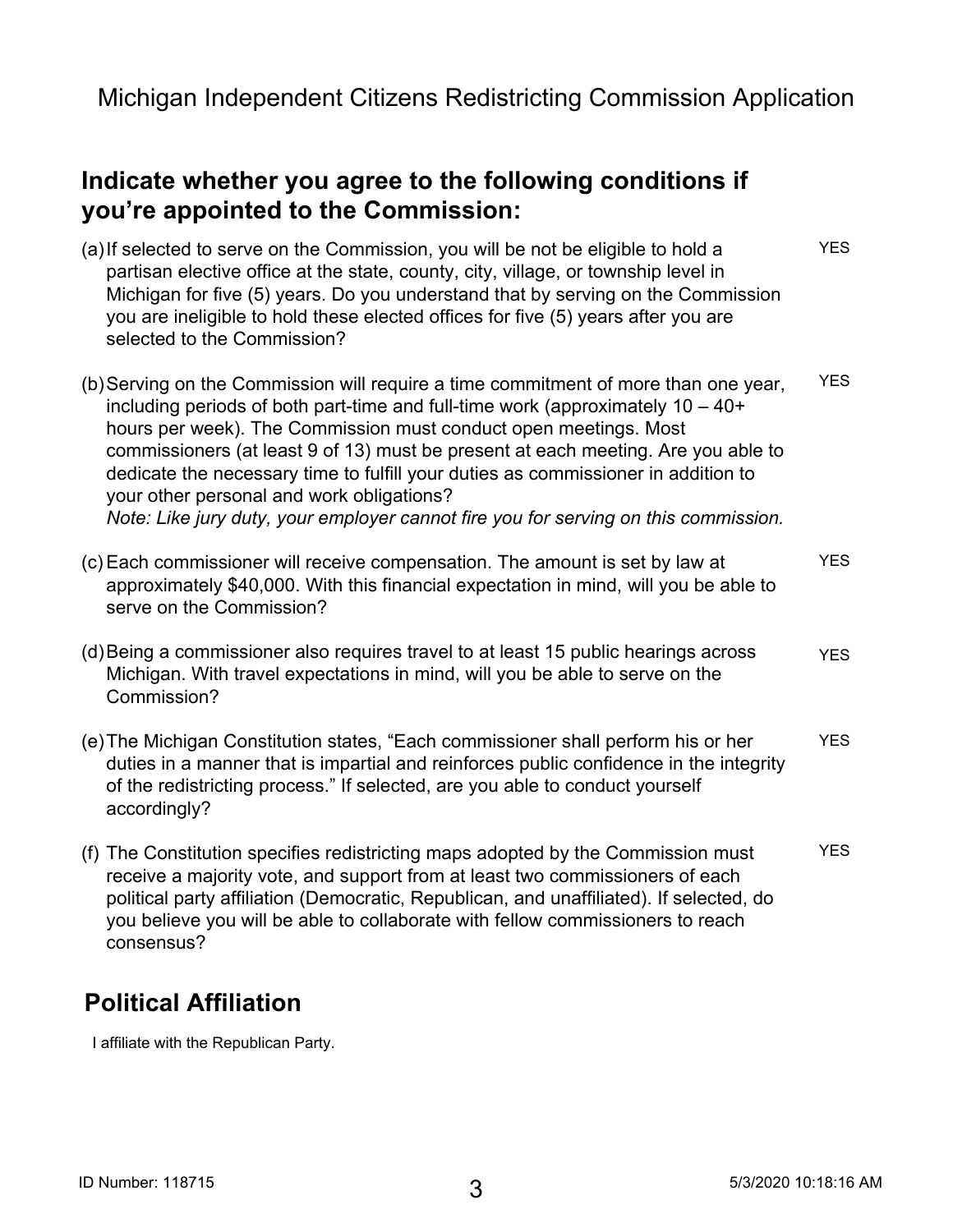### **Indicate whether you agree to the following conditions if you're appointed to the Commission:**

(a)If selected to serve on the Commission, you will be not be eligible to hold a partisan elective office at the state, county, city, village, or township level in Michigan for five (5) years. Do you understand that by serving on the Commission you are ineligible to hold these elected offices for five (5) years after you are selected to the Commission? (b)Serving on the Commission will require a time commitment of more than one year, including periods of both part-time and full-time work (approximately 10 – 40+ hours per week). The Commission must conduct open meetings. Most commissioners (at least 9 of 13) must be present at each meeting. Are you able to dedicate the necessary time to fulfill your duties as commissioner in addition to your other personal and work obligations? *Note: Like jury duty, your employer cannot fire you for serving on this commission.* (c) Each commissioner will receive compensation. The amount is set by law at approximately \$40,000. With this financial expectation in mind, will you be able to serve on the Commission? (d)Being a commissioner also requires travel to at least 15 public hearings across Michigan. With travel expectations in mind, will you be able to serve on the Commission? (e)The Michigan Constitution states, "Each commissioner shall perform his or her duties in a manner that is impartial and reinforces public confidence in the integrity of the redistricting process." If selected, are you able to conduct yourself accordingly? (f) The Constitution specifies redistricting maps adopted by the Commission must receive a majority vote, and support from at least two commissioners of each political party affiliation (Democratic, Republican, and unaffiliated). If selected, do you believe you will be able to collaborate with fellow commissioners to reach consensus? **YES YES YES YES YES YES**

# **Political Affiliation**

**I affiliate with the Republican Party.**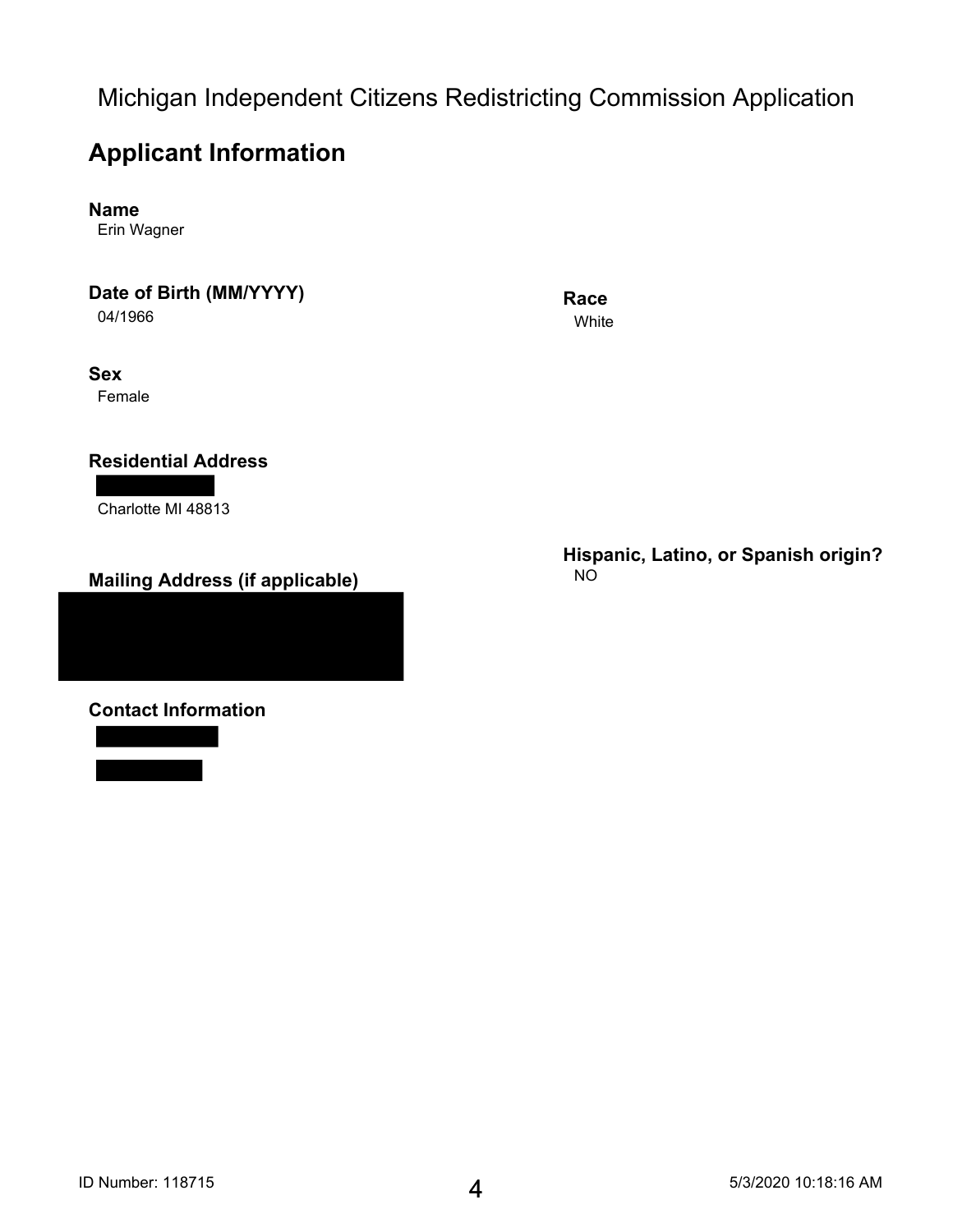## **Applicant Information**

**Name**

**Erin Wagner**

#### **Date of Birth (MM/YYYY)**

**04/1966**

#### **Sex**

**Female**

### **Residential Address**

**Charlotte MI 48813**

### **Mailing Address (if applicable)**

**Contact Information**

#### **Race White**

**Hispanic, Latino, or Spanish origin? NO**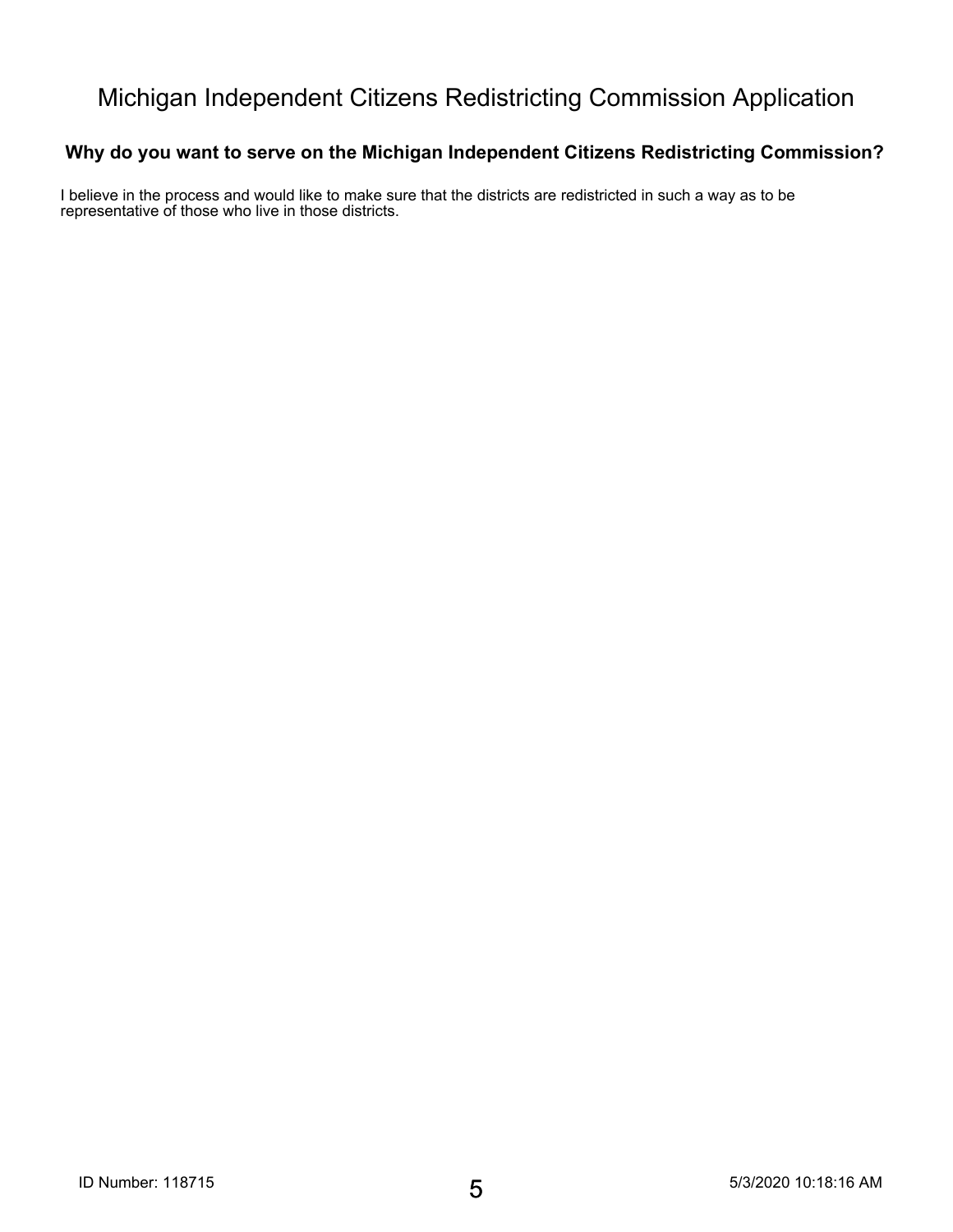### **Why do you want to serve on the Michigan Independent Citizens Redistricting Commission?**

**I believe in the process and would like to make sure that the districts are redistricted in such a way as to be representative of those who live in those districts.**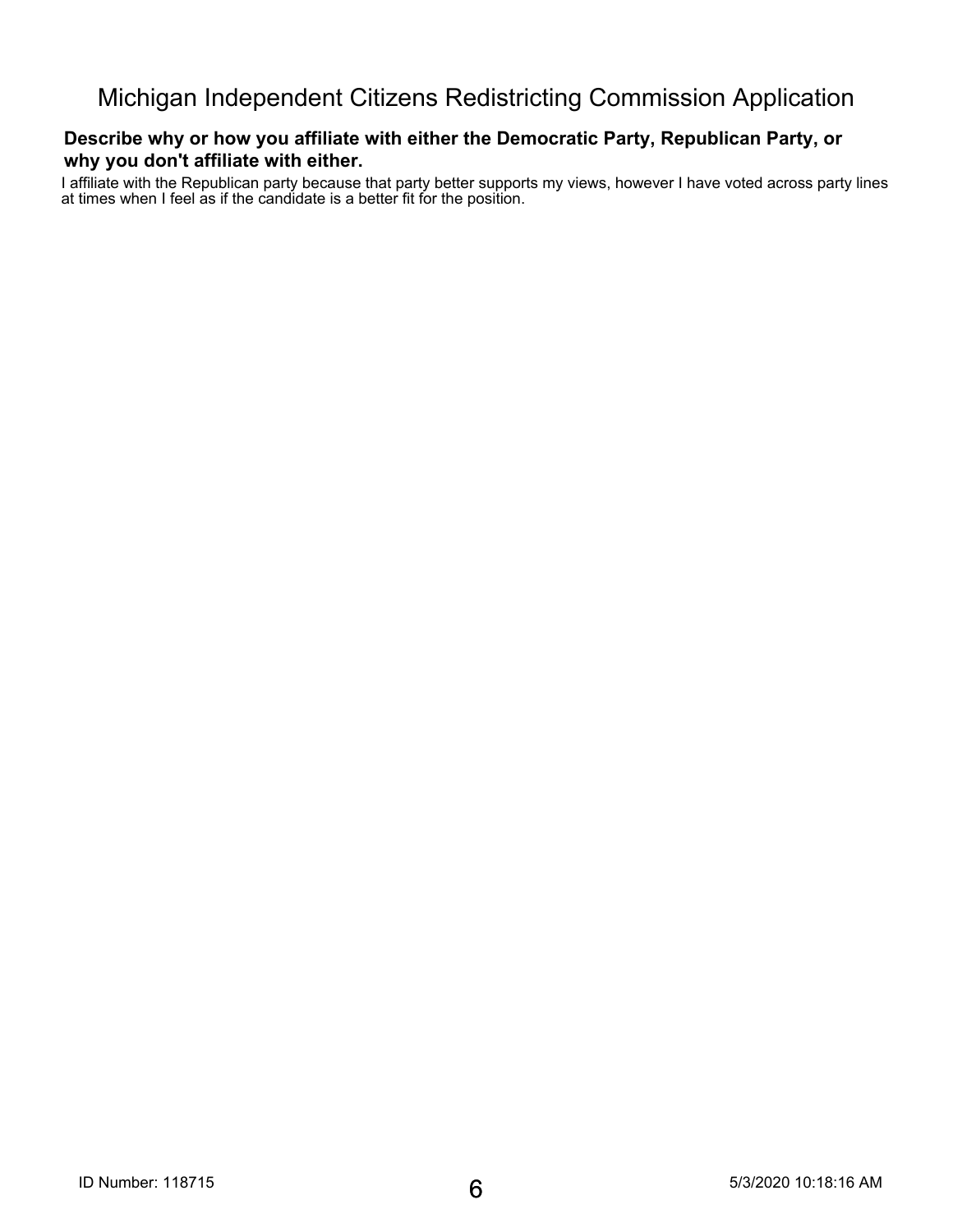#### **Describe why or how you affiliate with either the Democratic Party, Republican Party, or why you don't affiliate with either.**

**I affiliate with the Republican party because that party better supports my views, however I have voted across party lines at times when I feel as if the candidate is a better fit for the position.**